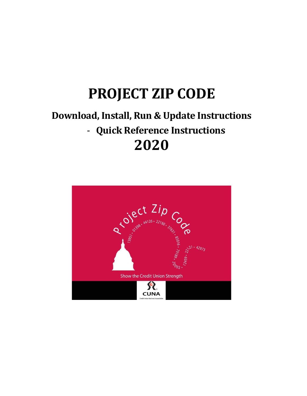# **PROJECT ZIP CODE**

# **Download, Install, Run & Update Instructions** ‐ **Quick Reference Instructions 2020**

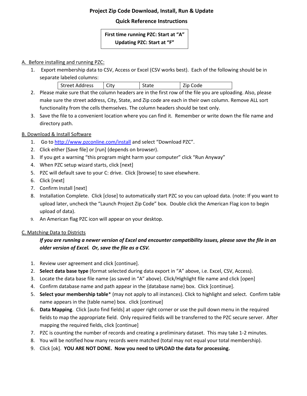# **Project Zip Code Download, Install, Run & Update**

## **Quick Reference Instructions**

# **First time running PZC: Start at "A" Updating PZC: Start at "F"**

#### A. Before installing and running PZC:

1. Export membership data to CSV, Access or Excel (CSV works best). Each of the following should be in separate labeled columns:

| <b>Street Address</b> | Jitv |  | $-$ |
|-----------------------|------|--|-----|
|-----------------------|------|--|-----|

- 2. Please make sure that the column headers are in the first row of the file you are uploading. Also, please make sure the street address, City, State, and Zip code are each in their own column. Remove ALL sort functionality from the cells themselves. The column headers should be text only.
- 3. Save the file to a convenient location where you can find it. Remember or write down the file name and directory path.

#### B. Download & Install Software

- 1. Go to <http://www.pzconline.com/install> and select "Download PZC".
- 2. Click either [Save file] or [run] (depends on browser).
- 3. If you get a warning "this program might harm your computer" click "Run Anyway"
- 4. When PZC setup wizard starts, click [next]
- 5. PZC will default save to your C: drive. Click [browse] to save elsewhere.
- 6. Click [next]
- 7. Confirm Install [next]
- 8. Installation Complete. Click [close] to automatically start PZC so you can upload data. (note: If you want to upload later, uncheck the "Launch Project Zip Code" box. Double click the American Flag icon to begin upload of data).
- 9. An American flag PZC icon will appear on your desktop.

#### C. Matching Data to Districts

# *If you are running a newer version of Excel and encounter compatibility issues, please save the file in an older version of Excel. Or, save the file as a CSV.*

- 1. Review user agreement and click [continue].
- 2. **Select data base type** (format selected during data export in "A" above, i.e. Excel, CSV, Access).
- 3. Locate the data base file name (as saved in "A" above). Click/Highlight file name and click [open]
- 4. Confirm database name and path appear in the {database name} box. Click [continue].
- 5. **Select your membership table**\* (may not apply to all instances). Click to highlight and select. Confirm table name appears in the {table name} box. click [continue]
- 6. **Data Mapping**. Click [auto find fields] at upper right corner or use the pull down menu in the required fields to map the appropriate field. Only required fields will be transferred to the PZC secure server. After mapping the required fields, click [continue]
- 7. PZC is counting the number of records and creating a preliminary dataset. This may take 1-2 minutes.
- 8. You will be notified how many records were matched (total may not equal your total membership).
- 9. Click [ok]. **YOU ARE NOT DONE. Now you need to UPLOAD the data for processing.**